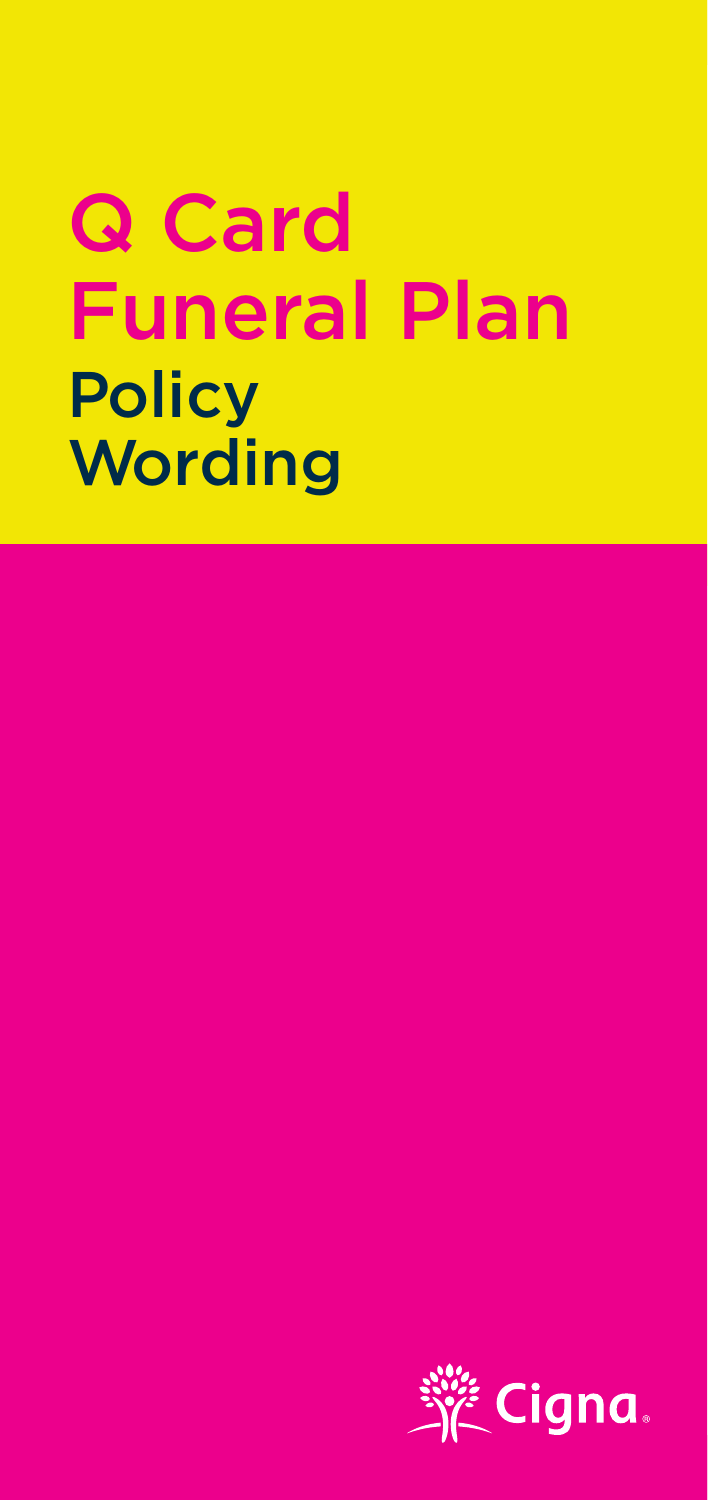## **Q** Card **Euneral Plar Policy** POIICY<br>Wording  $\overline{\mathbf{C}}$ Q Card **Funeral Plan Policy** Wording WordingQ Card

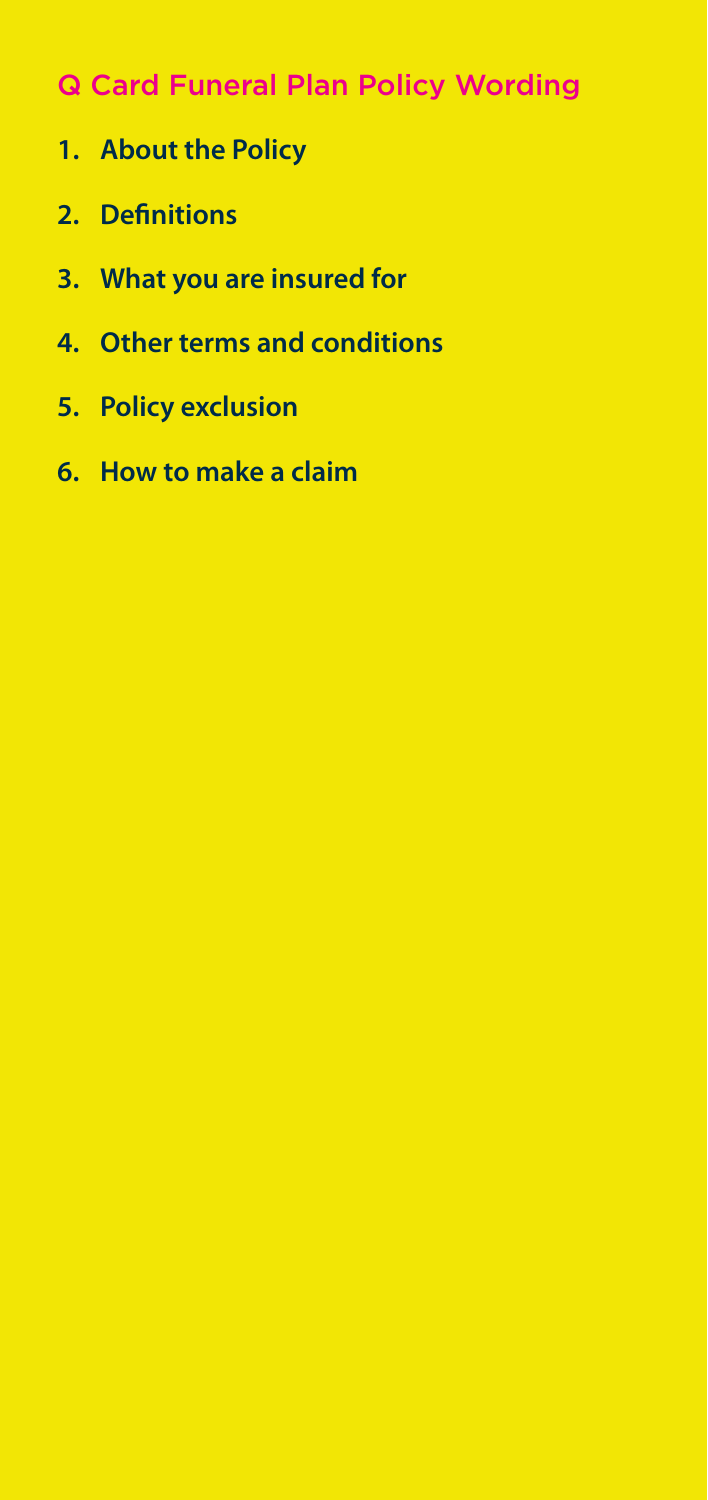## **Q Card Funeral Plan Policy Wording**

- **1. Introducing your Policy 1. About the Policy**
- **2. Definitions**
- **3. What you are insured for**
- **4.** Other terms and conditions
- **5. Changes you can make the your policy 5. Policy exclusion**
	- **6. How to make a claim**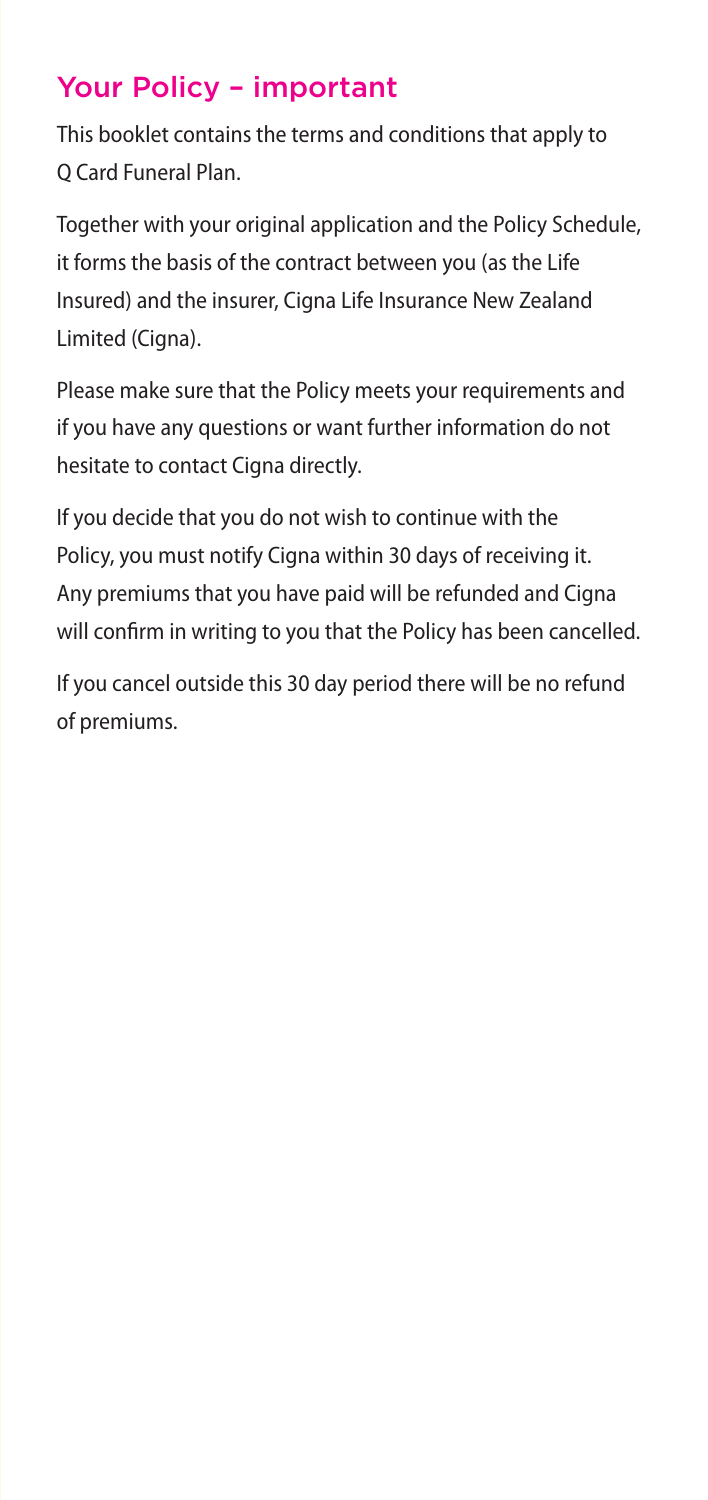## Your Policy – important

This booklet contains the terms and conditions that apply to This booklet contain<br>Q Card Funeral Plan.

Together with your original application and the Policy Schedule, it forms the basis of the contract between you (as the Life Insured) and the insurer, Cigna Life Insurance New Zealand Limited (Cigna).

Please make sure that the Policy meets your requirements and if you have any questions or want further information do not hesitate to contact Cigna directly.

If you decide that you do not wish to continue with the Policy, you must notify Cigna within 30 days of receiving it. Any premiums that you have paid will be refunded and Cigna will confirm in writing to you that the Policy has been cancelled.

If you cancel outside this 30 day period there will be no refund of premiums.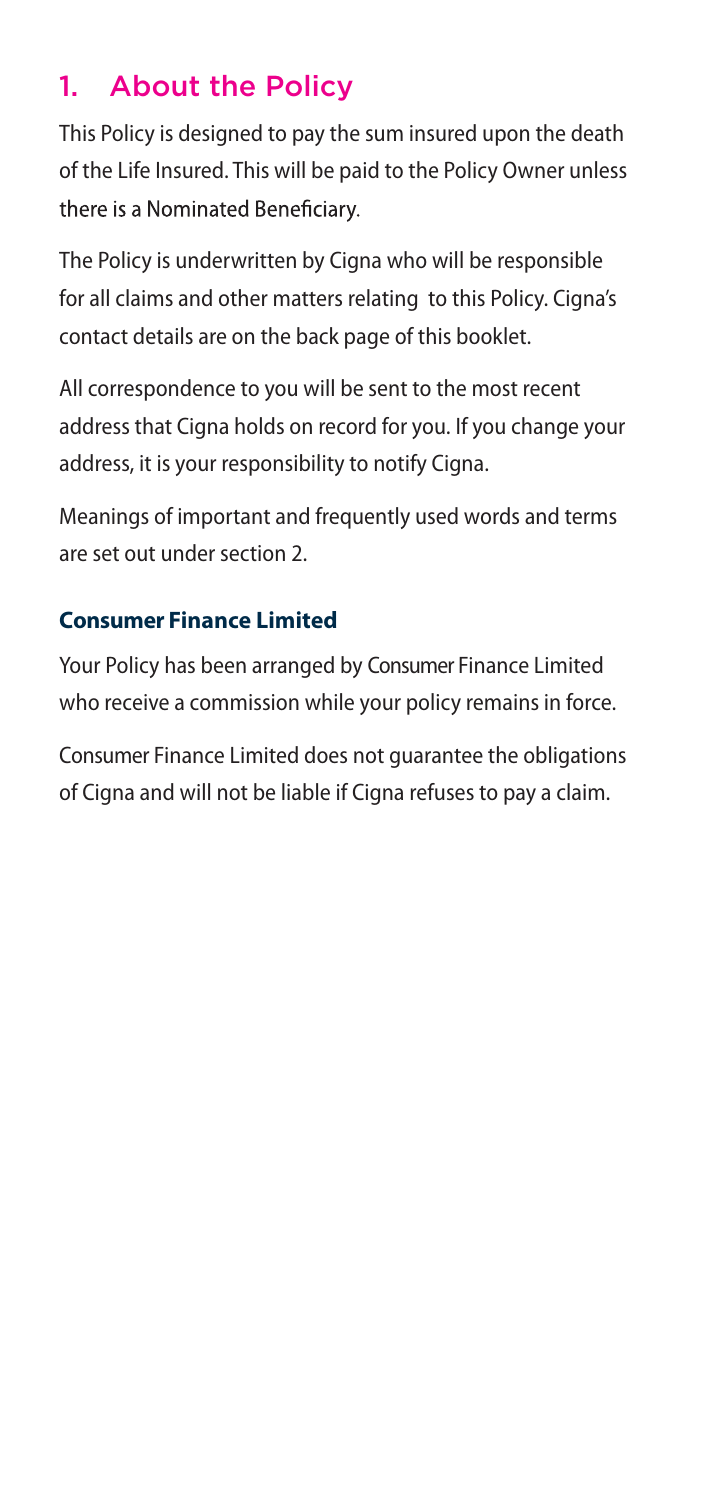# 1. About the Policy

This Policy is designed to pay the sum insured upon the death of the Life Insured. This will be paid to the Policy Owner unless there is a Nominated Beneficiary.

The Policy is underwritten by Cigna who will be responsible for all claims and other matters relating to this Policy. Cigna's contact details are on the back page of this booklet.

All correspondence to you will be sent to the most recent address that Cigna holds on record for you. If you change your address, it is your responsibility to notify Cigna.

Meanings of important and frequently used words and terms are set out under section 2.

## **Consumer Finance Limited**

Your Policy has been arranged by Consumer Finance Limited who receive a commission while your policy remains in force.

Consumer Finance Limited does not guarantee the obligations of Cigna and will not be liable if Cigna refuses to pay a claim.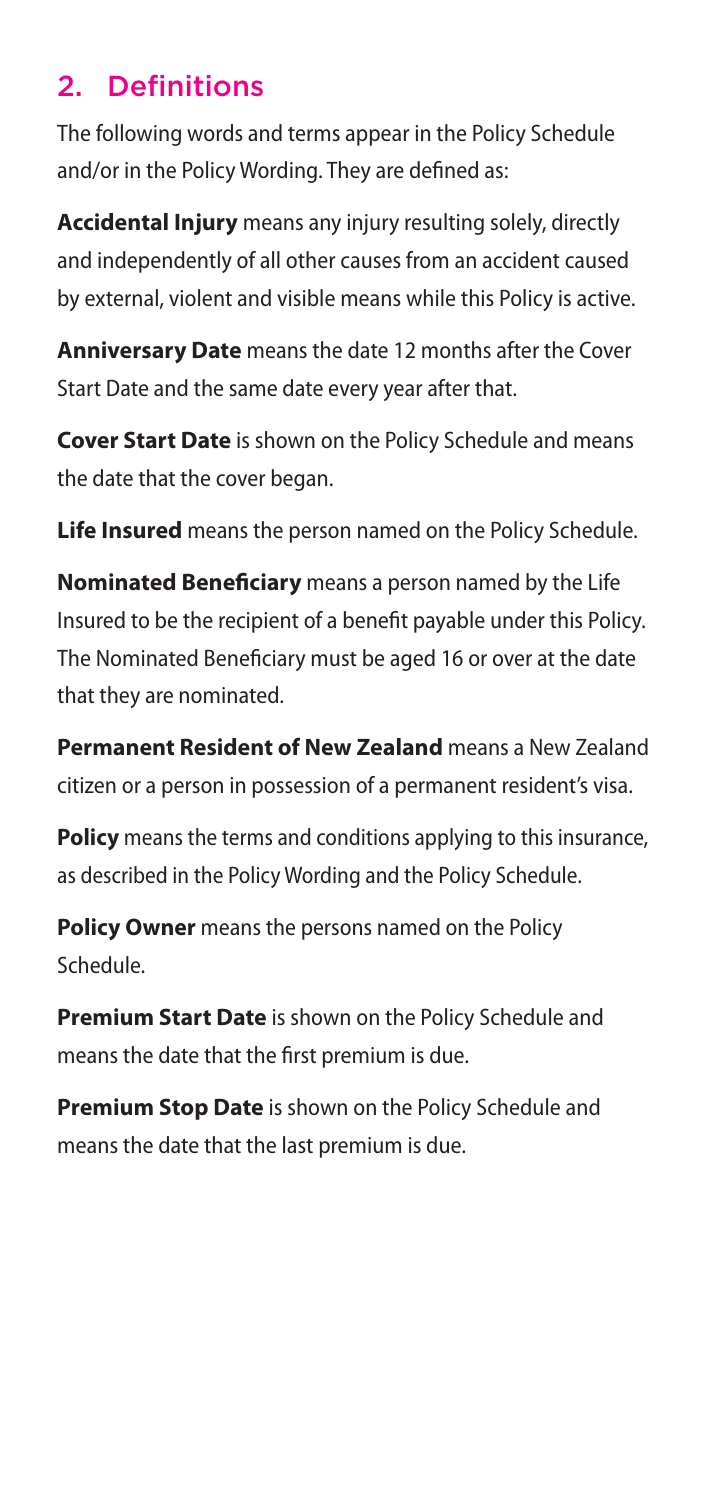## 2. Definitions

The following words and terms appear in the Policy Schedule and/or in the Policy Wording. They are defined as:

**Accidental Injury** means any injury resulting solely, directly and independently of all other causes from an accident caused by external, violent and visible means while this Policy is active.

**Anniversary Date** means the date 12 months after the Cover Start Date and the same date every year after that.

**Cover Start Date** is shown on the Policy Schedule and means the date that the cover began.

**Life Insured** means the person named on the Policy Schedule.

**Nominated Beneficiary** means a person named by the Life Insured to be the recipient of a benefit payable under this Policy. The Nominated Beneficiary must be aged 16 or over at the date that they are nominated.

**Permanent Resident of New Zealand** means a New Zealand citizen or a person in possession of a permanent resident's visa.

**Policy** means the terms and conditions applying to this insurance, as described in the Policy Wording and the Policy Schedule.

**Policy Owner** means the persons named on the Policy Schedule.

**Premium Start Date** is shown on the Policy Schedule and means the date that the first premium is due.

**Premium Stop Date** is shown on the Policy Schedule and means the date that the last premium is due.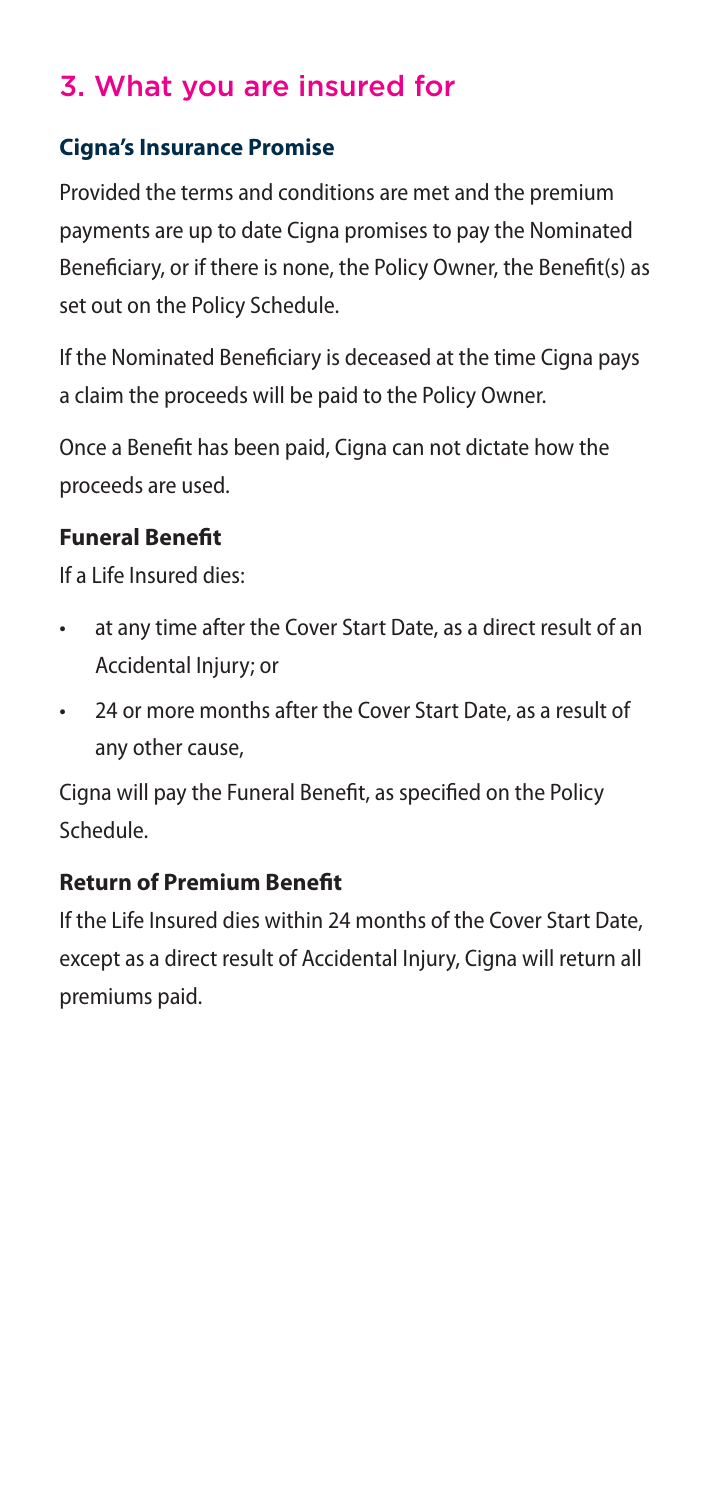## 3. What you are insured for

### **Cigna's Insurance Promise**

Provided the terms and conditions are met and the premium payments are up to date Cigna promises to pay the Nominated Beneficiary, or if there is none, the Policy Owner, the Benefit(s) as set out on the Policy Schedule.

If the Nominated Beneficiary is deceased at the time Cigna pays a claim the proceeds will be paid to the Policy Owner.

Once a Benefit has been paid, Cigna can not dictate how the proceeds are used.

### **Funeral Benefit**

If a Life Insured dies:

- at any time after the Cover Start Date, as a direct result of an Accidental Injury; or
- 24 or more months after the Cover Start Date, as a result of any other cause,

Cigna will pay the Funeral Benefit, as specified on the Policy Schedule.

### **Return of Premium Benefit**

If the Life Insured dies within 24 months of the Cover Start Date, except as a direct result of Accidental Injury, Cigna will return all premiums paid.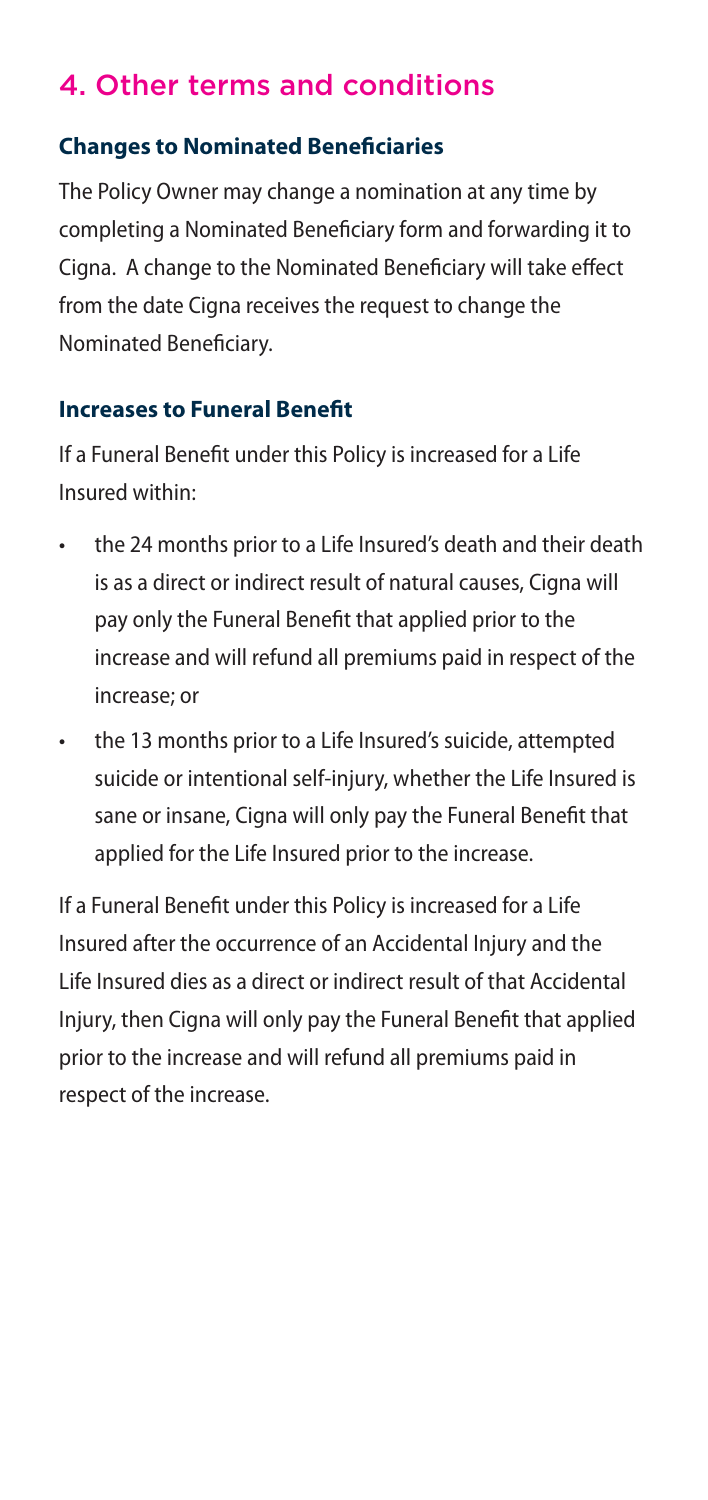## 4. Other terms and conditions

### **Changes to Nominated Beneficiaries**

The Policy Owner may change a nomination at any time by completing a Nominated Beneficiary form and forwarding it to Cigna. A change to the Nominated Beneficiary will take effect from the date Cigna receives the request to change the Nominated Beneficiary.

### **Increases to Funeral Benefit**

If a Funeral Benefit under this Policy is increased for a Life Insured within:

- the 24 months prior to a Life Insured's death and their death is as a direct or indirect result of natural causes, Cigna will pay only the Funeral Benefit that applied prior to the increase and will refund all premiums paid in respect of the increase; or
- the 13 months prior to a Life Insured's suicide, attempted suicide or intentional self-injury, whether the Life Insured is sane or insane, Cigna will only pay the Funeral Benefit that applied for the Life Insured prior to the increase.

If a Funeral Benefit under this Policy is increased for a Life Insured after the occurrence of an Accidental Injury and the Life Insured dies as a direct or indirect result of that Accidental Injury, then Cigna will only pay the Funeral Benefit that applied prior to the increase and will refund all premiums paid in respect of the increase.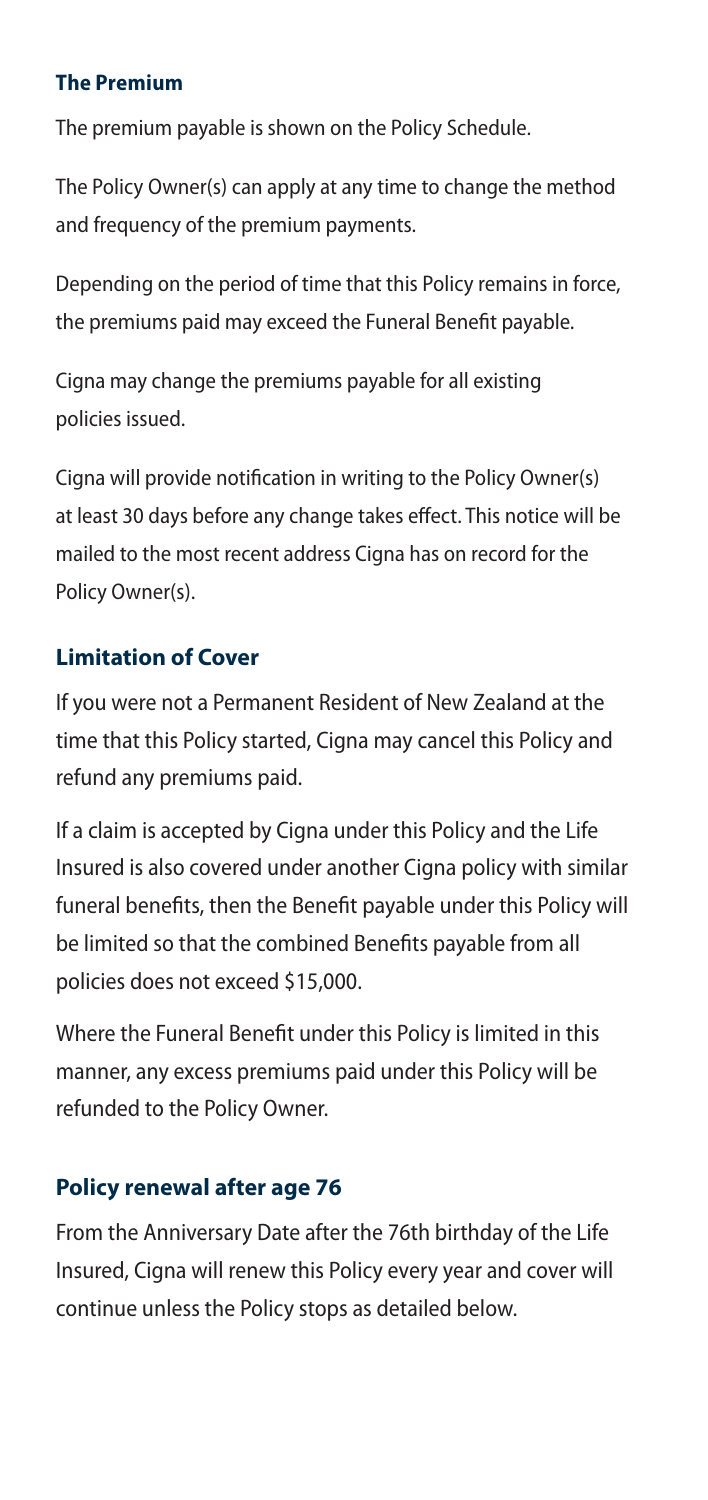#### **The Premium payments.**

The premium payable is shown on the Policy Schedule.

The Policy Owner(s) can apply at any time to change the method and frequency of the premium payments.

Depending on the period of time that this Policy remains in force, the premiums paid may exceed the Funeral Benefit payable. bepending on the

Cigna may change the premiums payable for all existing policies issued.<br>.

Cigna will provide notification in writing to the Policy Owner(s) Cigna will provide notification in writing to the Policy Owner(s) at least 30 days before any change takes effect. This notice will be least 30 days before any change takes effect. This notice will mailed to the most recent address Cigna has on record for the be mailed to the most recent address Cigna has on record for the Policy Owner(s). Policy Owner(s).

### **Limitation of Cover**

If you were not a Permanent Resident of New Zealand at the time that this Policy started, Cigna may cancel this Policy and refund any premiums paid.

If a claim is accepted by Cigna under this Policy and the Life Insured is also covered under another Cigna policy with similar funeral benefits, then the Benefit payable under this Policy will be limited so that the combined Benefits payable from all policies does not exceed \$15,000.

Where the Funeral Benefit under this Policy is limited in this manner, any excess premiums paid under this Policy will be refunded to the Policy Owner.

### **Policy renewal after age 76**

From the Anniversary Date after the 76th birthday of the Life Insured, Cigna will renew this Policy every year and cover will continue unless the Policy stops as detailed below.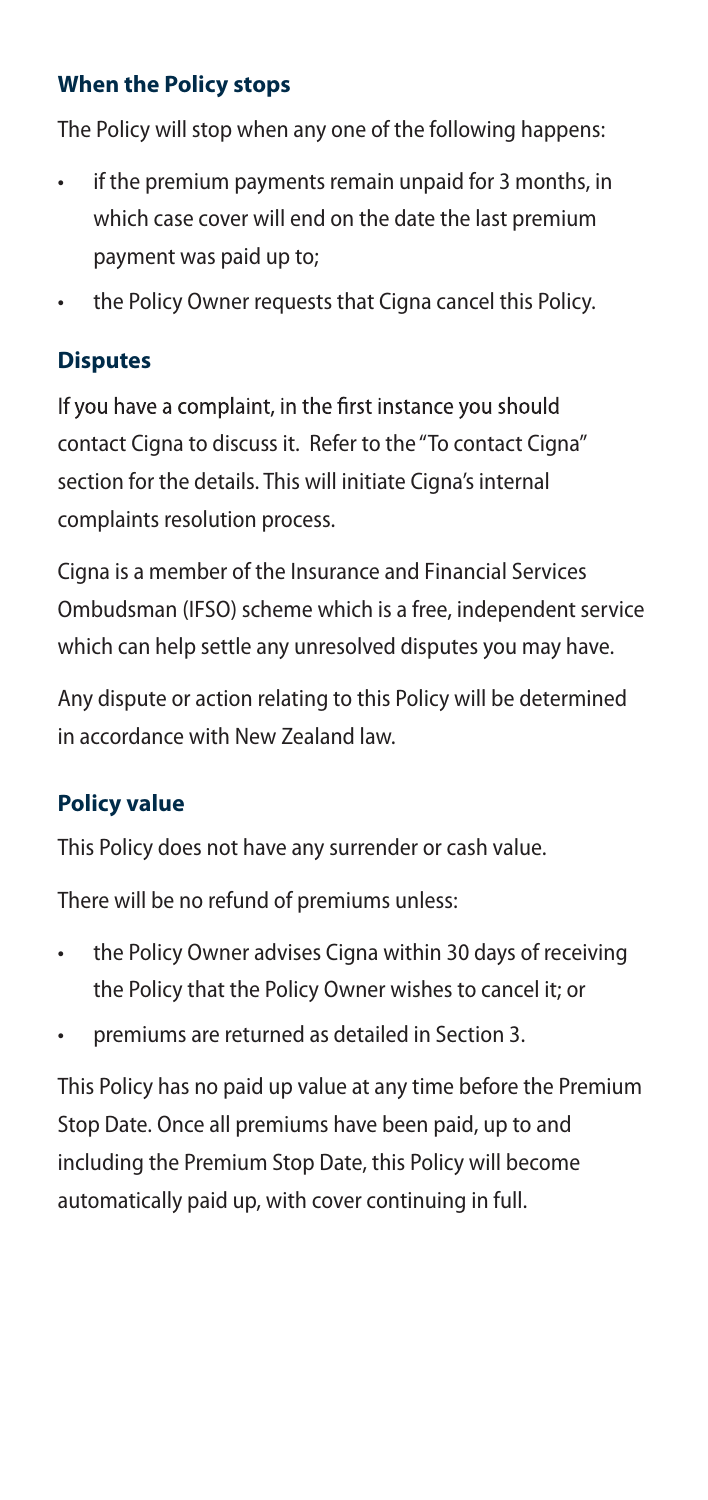### **When the Policy stops**

The Policy will stop when any one of the following happens:

- if the premium payments remain unpaid for 3 months, in which case cover will end on the date the last premium payment was paid up to;
- the Policy Owner requests that Cigna cancel this Policy.

### **Disputes**

If you have a complaint, in the first instance you should contact Cigna to discuss it. Refer to the "To contact Cigna" section for the details. This will initiate Cigna's internal complaints resolution process.

Cigna is a member of the Insurance and Financial Services Ombudsman (IFSO) scheme which is a free, independent service which can help settle any unresolved disputes you may have.

Any dispute or action relating to this Policy will be determined in accordance with New Zealand law.

### **Policy value**

This Policy does not have any surrender or cash value.

There will be no refund of premiums unless:

- the Policy Owner advises Cigna within 30 days of receiving the Policy that the Policy Owner wishes to cancel it; or
- premiums are returned as detailed in Section 3.

This Policy has no paid up value at any time before the Premium Stop Date. Once all premiums have been paid, up to and including the Premium Stop Date, this Policy will become automatically paid up, with cover continuing in full.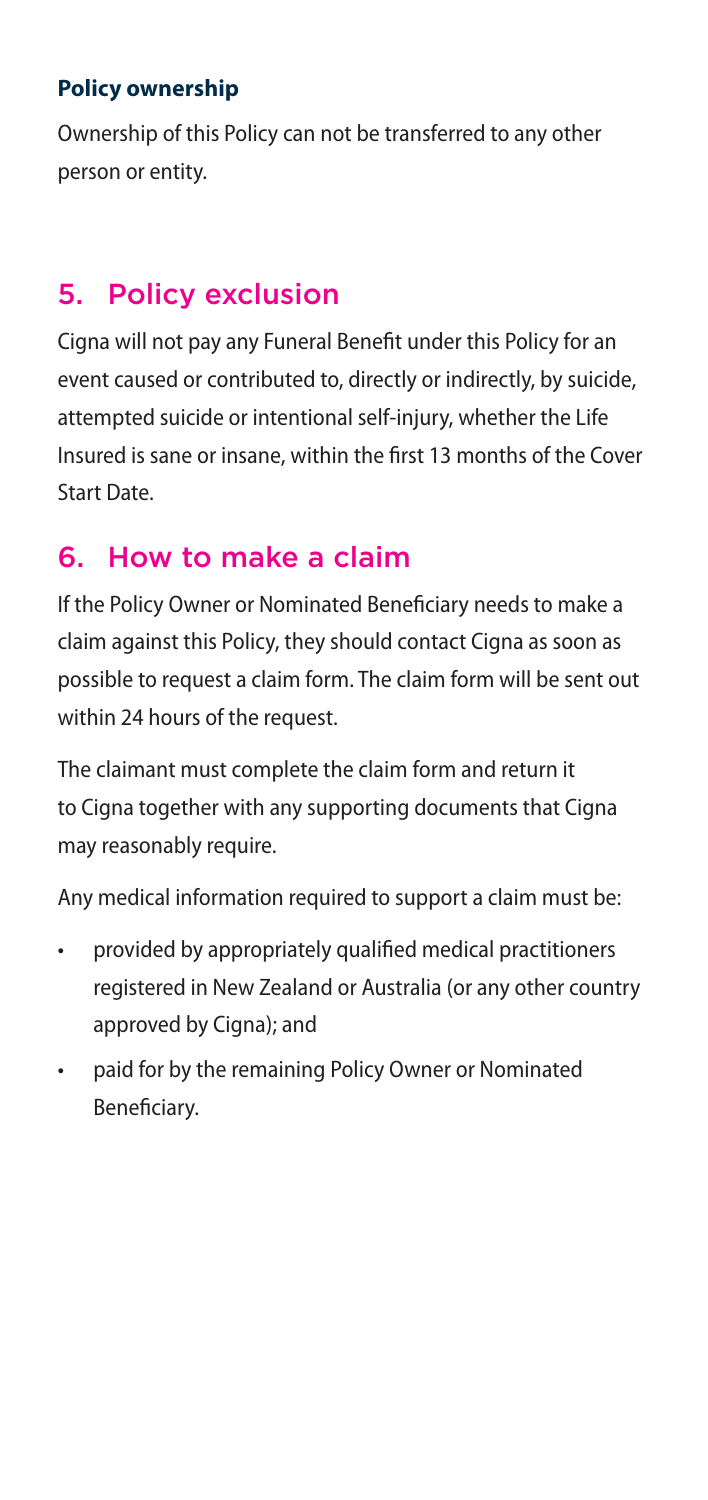### **Policy ownership**

Ownership of this Policy can not be transferred to any other person or entity.

## 5. Policy exclusion

Cigna will not pay any Funeral Benefit under this Policy for an event caused or contributed to, directly or indirectly, by suicide, attempted suicide or intentional self-injury, whether the Life Insured is sane or insane, within the first 13 months of the Cover Start Date.

## 6. How to make a claim

If the Policy Owner or Nominated Beneficiary needs to make a claim against this Policy, they should contact Cigna as soon as possible to request a claim form. The claim form will be sent out within 24 hours of the request.

The claimant must complete the claim form and return it to Cigna together with any supporting documents that Cigna may reasonably require.

Any medical information required to support a claim must be:

- provided by appropriately qualified medical practitioners registered in New Zealand or Australia (or any other country approved by Cigna); and
- paid for by the remaining Policy Owner or Nominated Beneficiary.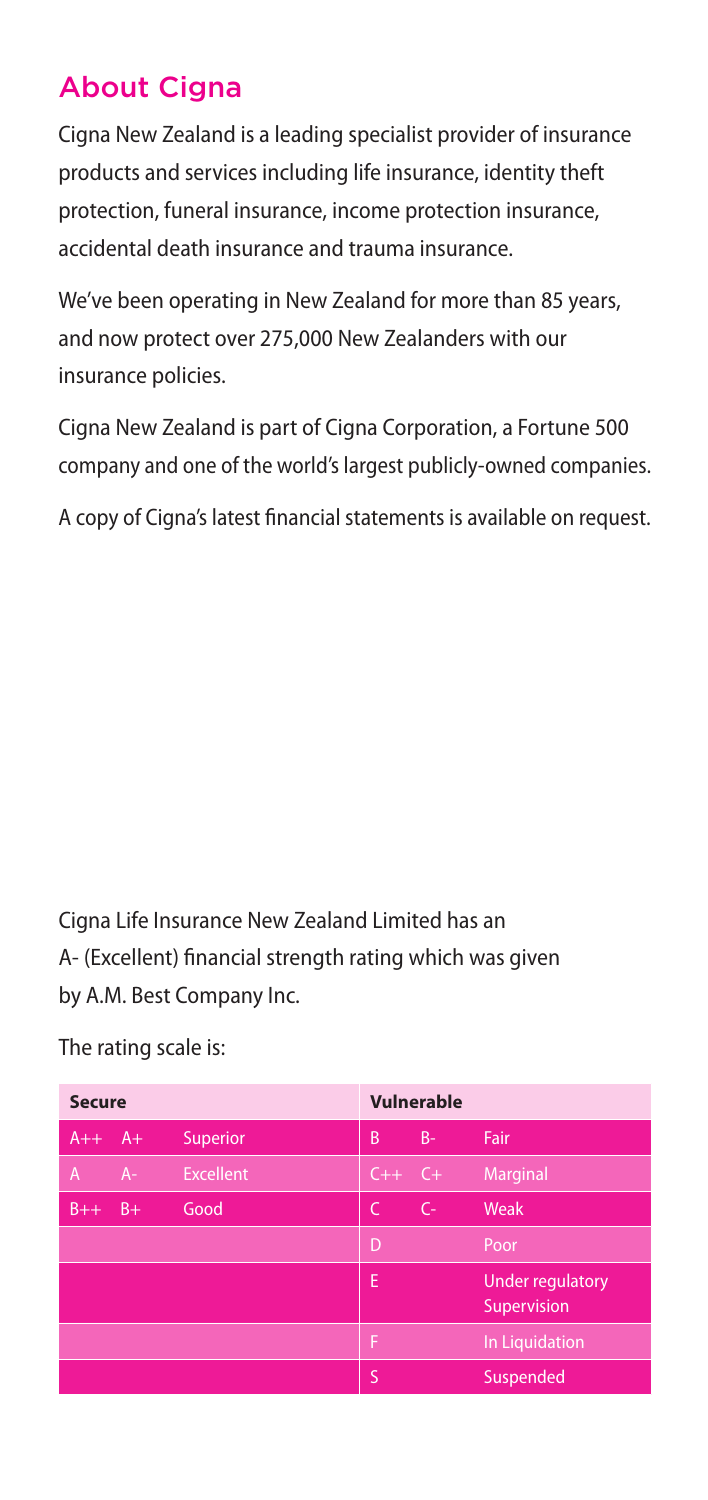## About Cigna

Cigna New Zealand is a leading specialist provider of insurance products and services including life insurance, identity theft protection, funeral insurance, income protection insurance, accidental death insurance and trauma insurance.

We've been operating in New Zealand for more than 85 years, and now protect over 275,000 New Zealanders with our insurance policies.

Cigna New Zealand is part of Cigna Corporation, a Fortune 500 company and one of the world's largest publicly-owned companies.

A copy of Cigna's latest financial statements is available on request.

Cigna Life Insurance New Zealand Limited has an A- (Excellent) financial strength rating which was given by A.M. Best Company Inc.

| <b>Secure</b> |       |                  | Vulnerable |       |                                        |
|---------------|-------|------------------|------------|-------|----------------------------------------|
| $A++$         | $A+$  | Superior         | B          | $B -$ | Fair                                   |
| A             | $A -$ | <b>Excellent</b> | $C++$ $C+$ |       | Marginal                               |
| $B++$         | $B+$  | Good             | C          | $C -$ | Weak                                   |
|               |       |                  | D          |       | Poor                                   |
|               |       |                  | E          |       | <b>Under regulatory</b><br>Supervision |
|               |       |                  | F          |       | In Liquidation                         |
|               |       |                  | Ś          |       | Suspended                              |

The rating scale is: